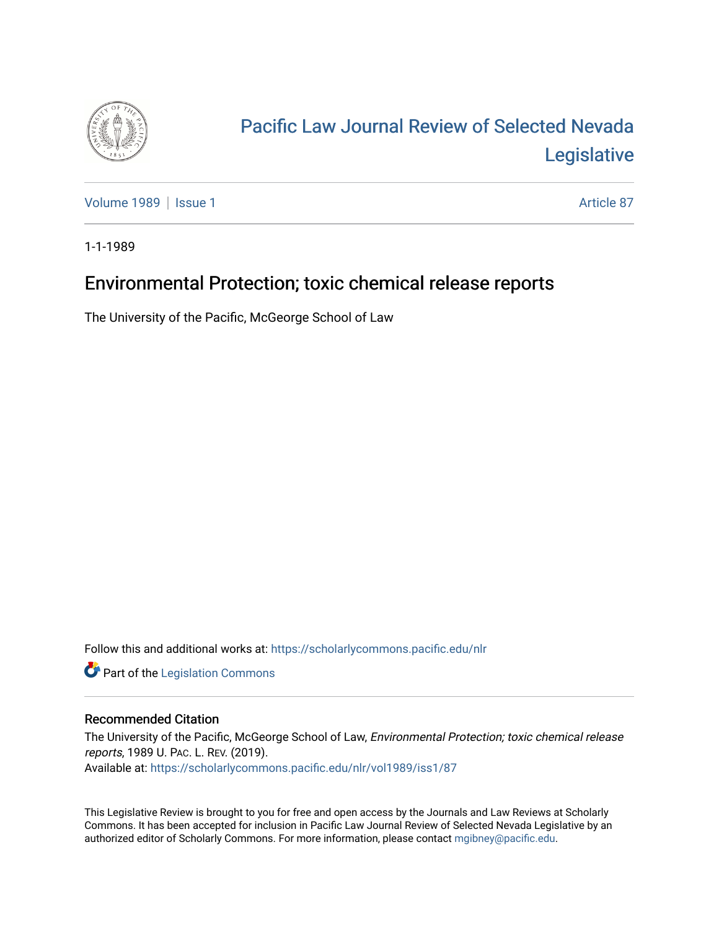

# [Pacific Law Journal Review of Selected Nevada](https://scholarlycommons.pacific.edu/nlr)  [Legislative](https://scholarlycommons.pacific.edu/nlr)

[Volume 1989](https://scholarlycommons.pacific.edu/nlr/vol1989) | [Issue 1](https://scholarlycommons.pacific.edu/nlr/vol1989/iss1) Article 87

1-1-1989

## Environmental Protection; toxic chemical release reports

The University of the Pacific, McGeorge School of Law

Follow this and additional works at: [https://scholarlycommons.pacific.edu/nlr](https://scholarlycommons.pacific.edu/nlr?utm_source=scholarlycommons.pacific.edu%2Fnlr%2Fvol1989%2Fiss1%2F87&utm_medium=PDF&utm_campaign=PDFCoverPages) 

**Part of the [Legislation Commons](http://network.bepress.com/hgg/discipline/859?utm_source=scholarlycommons.pacific.edu%2Fnlr%2Fvol1989%2Fiss1%2F87&utm_medium=PDF&utm_campaign=PDFCoverPages)** 

### Recommended Citation

The University of the Pacific, McGeorge School of Law, Environmental Protection; toxic chemical release reports, 1989 U. PAC. L. REV. (2019). Available at: [https://scholarlycommons.pacific.edu/nlr/vol1989/iss1/87](https://scholarlycommons.pacific.edu/nlr/vol1989/iss1/87?utm_source=scholarlycommons.pacific.edu%2Fnlr%2Fvol1989%2Fiss1%2F87&utm_medium=PDF&utm_campaign=PDFCoverPages)

This Legislative Review is brought to you for free and open access by the Journals and Law Reviews at Scholarly Commons. It has been accepted for inclusion in Pacific Law Journal Review of Selected Nevada Legislative by an authorized editor of Scholarly Commons. For more information, please contact [mgibney@pacific.edu](mailto:mgibney@pacific.edu).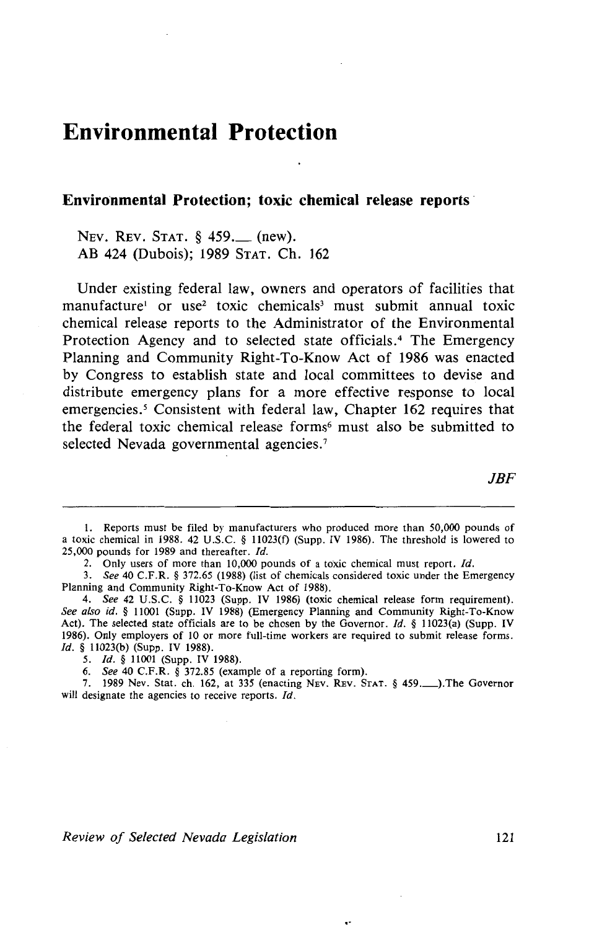### **Environmental Protection**

#### **Environmental Protection; toxic chemical release reports** ·

NEv. REv. STAT. § 459.\_ (new). AB 424 (Dubois); 1989 STAT. Ch. 162

Under existing federal law, owners and operators of facilities that manufacture<sup>1</sup> or use<sup>2</sup> toxic chemicals<sup>3</sup> must submit annual toxic chemical release reports to the Administrator of the Environmental Protection Agency and to selected state officials.4 The Emergency Planning and Community Right-To-Know Act of 1986 was enacted by Congress to establish state and local committees to devise and distribute emergency plans for a more effective response to local emergencies.<sup>5</sup> Consistent with federal law, Chapter 162 requires that the federal toxic chemical release forms<sup>6</sup> must also be submitted to selected Nevada governmental agencies.<sup>7</sup>

JBF

 $\overline{\phantom{a}}$ 

<sup>1.</sup> Reports must be filed by manufacturers who produced more than 50,000 pounds of a toxic chemical in 1988. 42 U.S.C. § 11023(f) (Supp. IV 1986). The threshold is lowered to 25,000 pounds for 1989 and thereafter. */d.* 

<sup>2.</sup> Only users of more than 10,000 pounds of a toxic chemical must report. Id.

<sup>3.</sup> *See* 40 C.F.R. § 372.65 (1988) (list of chemicals considered toxic under the Emergency Planning and Community Right-To-Know Act of 1988).

<sup>4.</sup> *See* 42 U.S.C. § 11023 (Supp. IV 1986) (toxic chemical release form requirement). *See also id.* § 11001 (Supp. IV 1988) (Emergency Planning and Community Right-To-Know Act). The selected state officials are to be chosen by the Governor. */d.* § 11023(a) (Supp. IV 1986). Only employers of 10 or more full-time workers are required to submit release forms. Id. § 11023(b) (Supp. IV 1988).

<sup>5.</sup> *Id.* § 11001 (Supp. IV 1988).

<sup>6.</sup> *See* 40 C.F.R. § 372.85 (example of a reporting form).

<sup>7. 1989</sup> Nev. Stat. ch. 162, at 335 (enacting NEV. REv. STAT. § 459.\_),The Governor will designate the agencies to receive reports. Id.